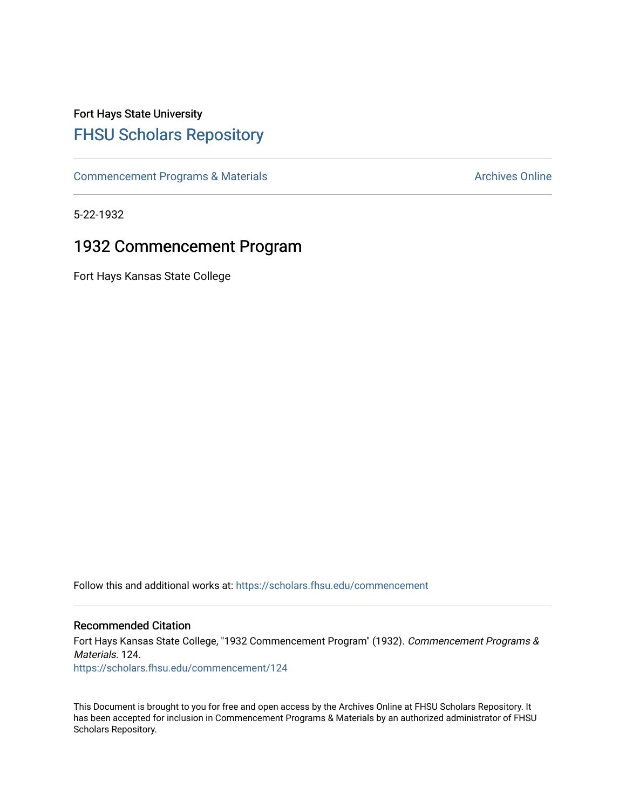# Fort Hays State University [FHSU Scholars Repository](https://scholars.fhsu.edu/)

[Commencement Programs & Materials](https://scholars.fhsu.edu/commencement) **Archives Online** Archives Online

5-22-1932

## 1932 Commencement Program

Fort Hays Kansas State College

Follow this and additional works at: [https://scholars.fhsu.edu/commencement](https://scholars.fhsu.edu/commencement?utm_source=scholars.fhsu.edu%2Fcommencement%2F124&utm_medium=PDF&utm_campaign=PDFCoverPages)

### Recommended Citation

Fort Hays Kansas State College, "1932 Commencement Program" (1932). Commencement Programs & Materials. 124. [https://scholars.fhsu.edu/commencement/124](https://scholars.fhsu.edu/commencement/124?utm_source=scholars.fhsu.edu%2Fcommencement%2F124&utm_medium=PDF&utm_campaign=PDFCoverPages)

This Document is brought to you for free and open access by the Archives Online at FHSU Scholars Repository. It has been accepted for inclusion in Commencement Programs & Materials by an authorized administrator of FHSU Scholars Repository.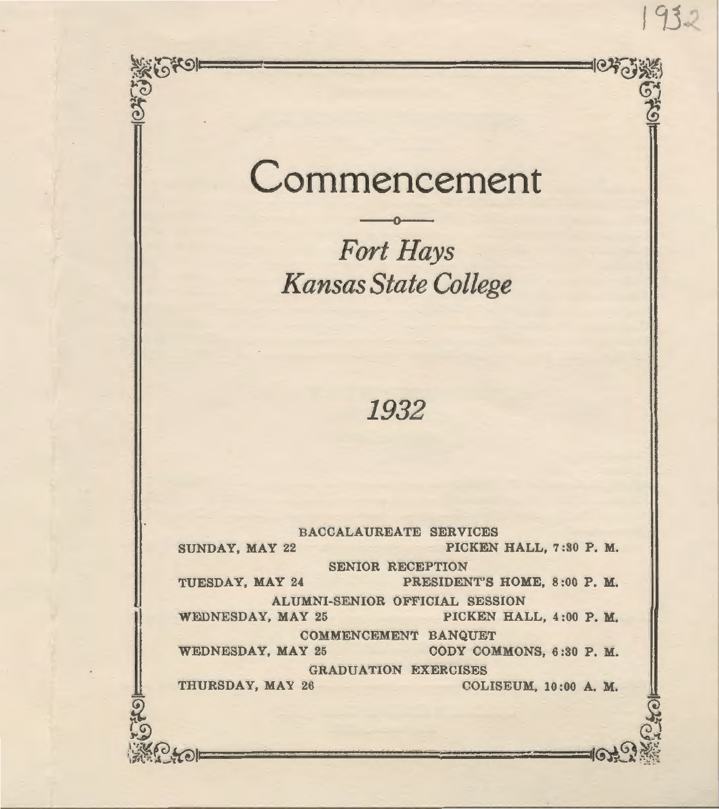# **Commencement** *Fort Hays Kansas State College*  **1932**  BACCALAUREATE SERVICES<br>PICKEN<br>PICKEN PICKEN HALL, 7:30 P. M. SENIOR RECEPTION TUESDAY, MAY 24 PRESIDENT'S HOME, 8 :00 P. **M.**  ALUMNI-SENIOR OFFICIAL SESSION<br>MAY 25 PICKEN HALL, 4:00 P.M. WEDNESDAY, MAY 25 COMMENCEMENT BANQUET<br>
Y 25 CODY COMMONS, 6:30 P.M. WEDNESDAY, MAY 25 GRADUATION EXERCISES<br>
THURSDAY, MAY 26 COL COLISEUM, 10:00 A. M.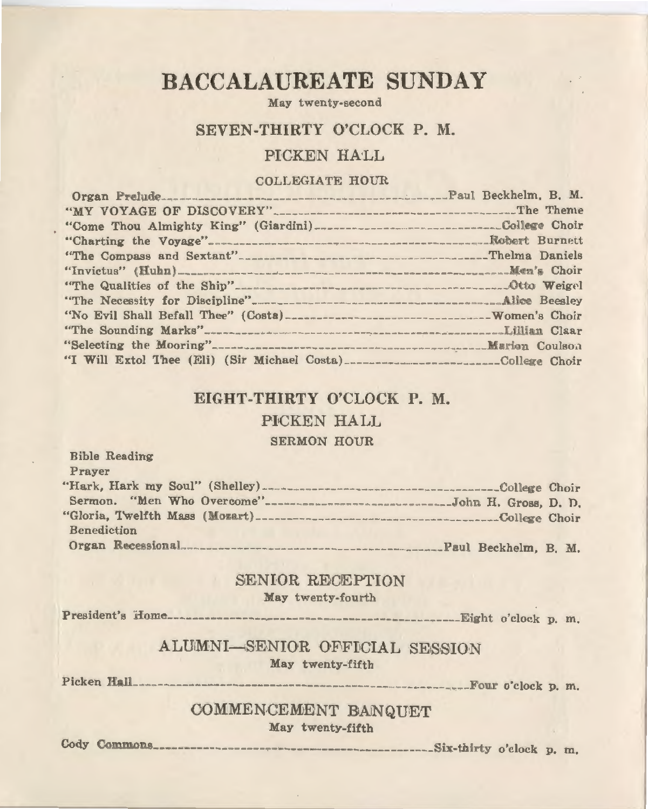### **BACCALAUREATE SUNDAY**

May twenty-second

### **SEVEN-THIRTY O'CLOCK P. M.**

### PICKEN HALL

#### COLLEGIATE HOUR

| "Come Thou Almighty King" (Giardini)-------------------------------College Choir      |  |
|---------------------------------------------------------------------------------------|--|
|                                                                                       |  |
|                                                                                       |  |
|                                                                                       |  |
|                                                                                       |  |
|                                                                                       |  |
|                                                                                       |  |
|                                                                                       |  |
|                                                                                       |  |
| "I Will Extol Thee (Eli) (Sir Michael Costa)----------------------------College Choir |  |

### **EIGHT-THIRTY O'CLOCK P. M.**

### PICKEN HALL

#### SERMON HOUR

| <b>Bible Reading</b>                                                       |  |
|----------------------------------------------------------------------------|--|
| Prayer                                                                     |  |
|                                                                            |  |
| Sermon. "Men Who Overcome"----------------------------John H, Gross, D, D, |  |
|                                                                            |  |
| <b>Benediction</b>                                                         |  |
|                                                                            |  |

### SENIOR RECEPTION

May twenty-fourth

President's ilome ..•.•••.......................................... Eight o'clock p, m.

### ALUMNI-SENIOR OFFICIAL SESSION May twenty-fifth

Picken Hall ...•...............•...........................•........ Four o'clock p, m.

### COMMENCEMENT BANQUET May twenty-fifth

**Cody** Commons ...•..••........•.....•.•....••................ Six-thirty o'clock p, m.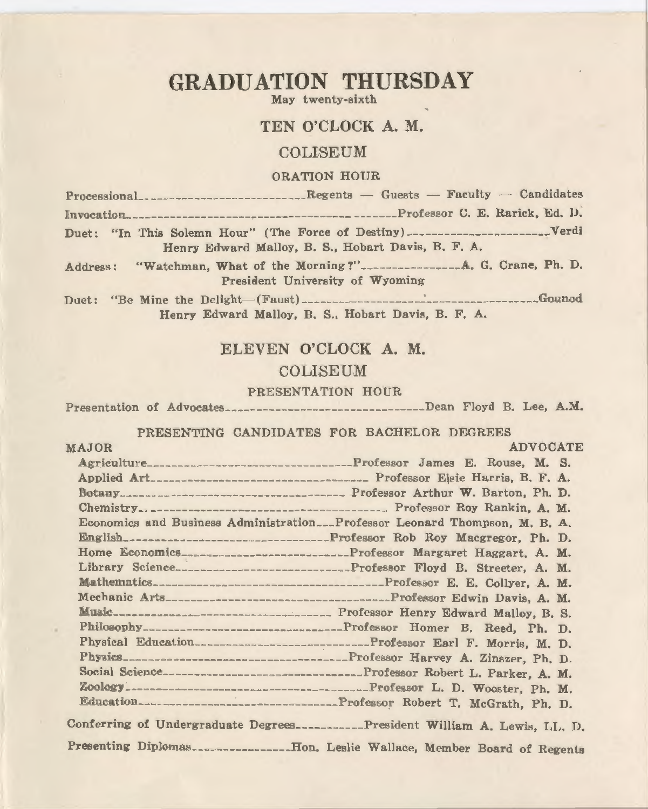### **GRADUATION THURSDAY**

May twenty-sixth

### **TEN O'CLOCK A. M.**

### COLISEUM

### ORATION HOUR

|          | $Recents$ - Guests - Faculty - Candidates          |  |
|----------|----------------------------------------------------|--|
|          |                                                    |  |
|          |                                                    |  |
|          | Henry Edward Malloy, B. S., Hobart Davis, B. F. A. |  |
| Addyson: | $A \cap$ Crane $Ph \cap$<br>$\frac{1}{2}$          |  |

Address: "Watchman, What of the Morning?" **\_\_\_\_\_\_\_\_\_\_\_\_ \_\_\_\_ A,** G. Crane, Ph. D. President University of Wyoming

Duct: "Be Mine the Delight-(Faust) \_\_\_\_\_\_\_\_\_\_\_\_\_\_\_\_\_\_\_\_\_\_\_\_\_\_\_\_\_\_\_\_\_Gounod Henry Edward Malloy, B. S., Hobart Davis, B. F. A.

### **ELEVEN O'CLOCK A. M.**  COLISEUM

### PRESENTATION HOUR

Presentation of Advocates \_\_\_\_\_\_\_\_\_\_\_\_\_\_\_\_\_\_\_\_\_\_\_\_\_\_\_\_\_\_\_\_ Dean Floyd B. Lee, **A.M.** 

### PRESENTING CANDIDATES FOR BACHELOR DEGREES

| MAJOR | <b>ADVOCATE</b>                                                                       |
|-------|---------------------------------------------------------------------------------------|
|       |                                                                                       |
|       |                                                                                       |
|       |                                                                                       |
|       |                                                                                       |
|       | Economics and Business AdministrationProfessor Leonard Thompson, M. B. A.             |
|       |                                                                                       |
|       | Home Economics-------------------------------Professor Margaret Haggart, A. M.        |
|       |                                                                                       |
|       |                                                                                       |
|       |                                                                                       |
|       |                                                                                       |
|       | Philosophy <sub>-------------------------------</sub> Professor Homer B. Reed, Ph. D. |
|       | Physical Education---------------------------------Professor Earl F. Morris, M. D.    |
|       |                                                                                       |
|       |                                                                                       |
|       |                                                                                       |
|       |                                                                                       |
|       | Conferring of Undergraduate DegreesPresident William A. Lewis, LL, D.                 |
|       | Presenting DiplomasHon, Leslie Wallace, Member Board of Regents                       |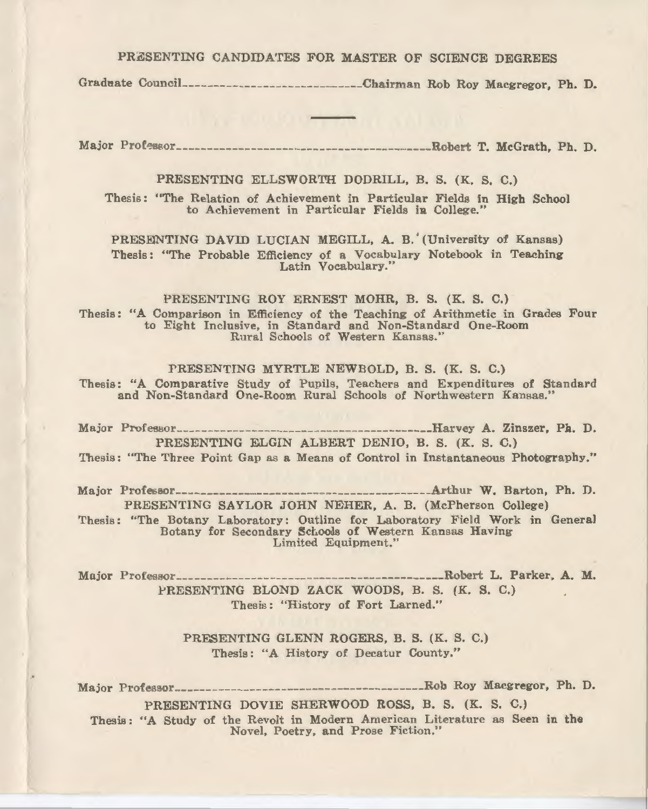#### PRESENTING CANDIDATES FOR MASTER OF SCIENCE DEGREES

Graduate Council\_\_\_\_\_\_\_\_\_\_\_\_\_\_\_\_\_\_\_\_\_\_\_\_\_\_\_\_\_\_\_Chairman Rob Roy Macgregor, Ph. D.

Major Professor

PRESENTING ELLSWORTH DODRILL, B. S. (K. S. C.)

Thesis: "The Relation of Achievement in Particular Fields in High School to Achievement in Particular Fields in College."

PRESENTING DAVID LUCIAN MEGILL, A. B. (University of Kansas) Thesis: "The Probable Efficiency of a Vocabulary Notebook in Teaching **Latin Vocabulary."** 

PRESENTING ROY ERNEST MOHR, B. S. (K. S. C.) Thesis: "A Comparison in Efficiency of the Teaching of Arithmetic in Grades Four to Eight Inclusive, in Standard and Non-Standard One-Room **Rural Schools of Western Kansas."** 

PRESENTING MYRTLE NEWBOLD, B. S. (K. S. C.)

Thesis: "A Comparative Study of Pupils, Teachers and Expenditures of Standard and Non-Standard One-Room Rural Schools of Northwestern Kansas."

Major Professor \_\_\_\_\_\_\_\_\_\_\_\_\_\_\_\_\_\_\_\_\_\_\_\_\_\_\_\_\_\_\_\_\_\_\_\_\_\_\_\_\_ Harvey **A.** Zinszer, Ph. D. PRESENTING ELGIN ALBERT DENIO, B. S. (K. S. C.)

**'I'hesis: "The Three Point Gap as a Means of Control in Instantaneous Photography."** 

Major Professor \_\_\_\_\_\_\_\_\_\_\_\_\_\_\_\_\_\_\_\_\_\_\_\_\_\_\_\_\_\_\_\_\_\_\_\_\_\_\_\_\_\_\_ Arthur **W.** Barton, Ph. D. PRESENTING SAYLOR JOHN NEHER, A. B. (McPherson College)

Thesis: "The Botany Laboratory: Outline for Laboratory Field Work in General Botany for Secondary Schools of Western Kansas Having **Limited Equipment."** 

Major Professor \_\_\_\_\_\_\_\_\_\_\_\_\_\_\_\_\_\_\_\_\_\_\_\_\_\_\_\_\_\_\_\_\_\_\_\_\_\_\_\_\_\_\_ Robert L. Parker, A. M. PRESENTING BLOND ZACK WOODS, B. S. (K. S. C.) **'fhesis: "History of Fort Larned."** 

> PRESENTING GLENN ROGERS, B. S. (K. S. C.) **Thesis: "A History of Decatur County,"**

Major Profesaor \_\_\_\_\_\_\_\_\_\_\_\_\_\_\_\_\_\_\_\_\_\_\_\_\_\_\_\_\_\_\_\_\_\_\_\_\_\_\_\_ Rob Roy Macgregor, Ph. D.

PRESENTING DOVIE SHERWOOD ROSS, B. S. (K. S. C.)

Thesis: "A Study of the Revolt in Modern American Literature as Seen in tho **Novel, Poetry, and Prose Fiction."**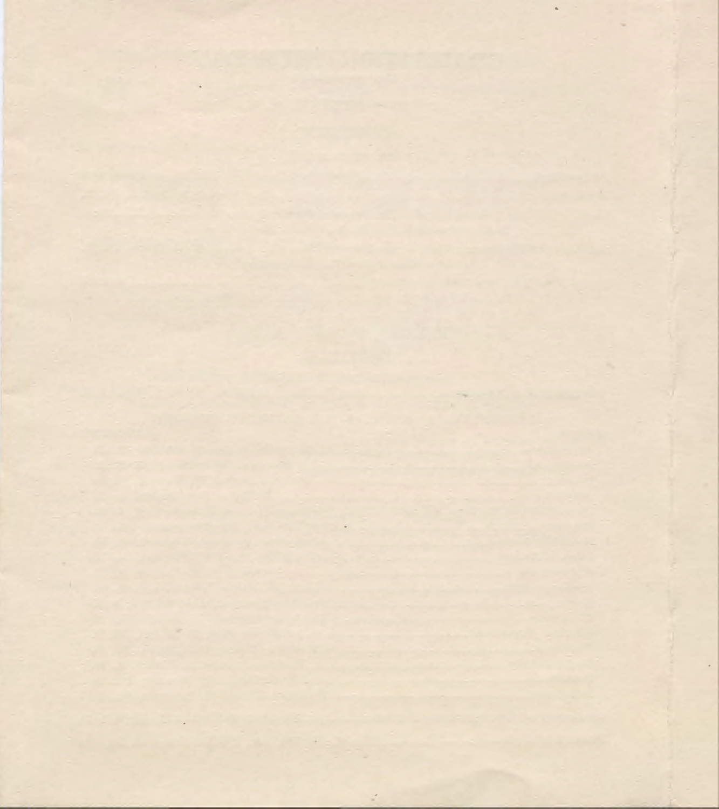